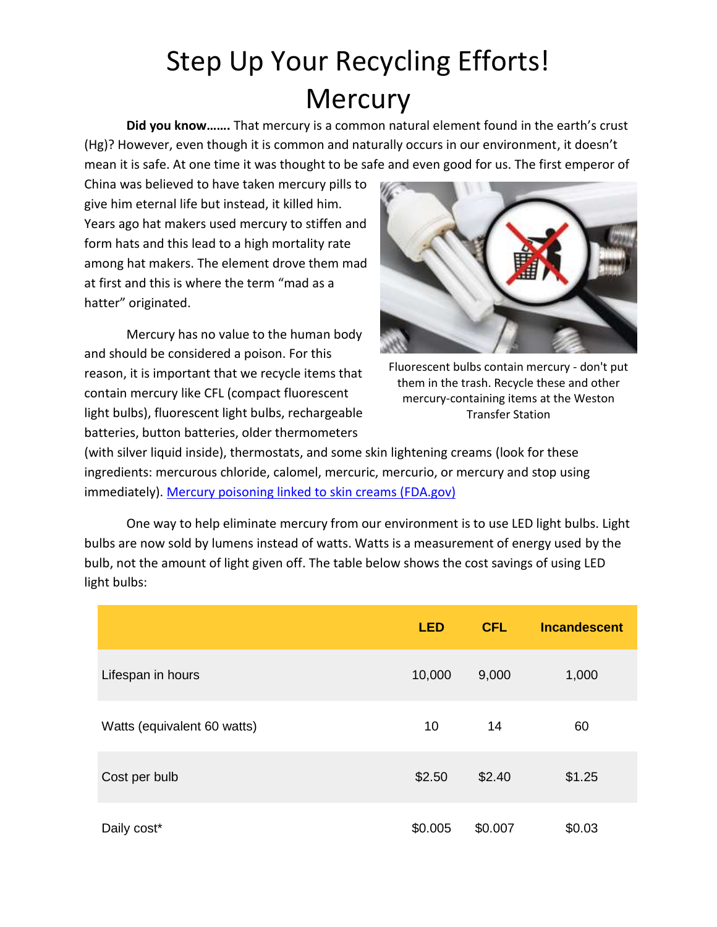## Step Up Your Recycling Efforts! **Mercury**

**Did you know…….** That mercury is a common natural element found in the earth's crust (Hg)? However, even though it is common and naturally occurs in our environment, it doesn't mean it is safe. At one time it was thought to be safe and even good for us. The first emperor of

China was believed to have taken mercury pills to give him eternal life but instead, it killed him. Years ago hat makers used mercury to stiffen and form hats and this lead to a high mortality rate among hat makers. The element drove them mad at first and this is where the term "mad as a hatter" originated.

Mercury has no value to the human body and should be considered a poison. For this reason, it is important that we recycle items that contain mercury like CFL (compact fluorescent light bulbs), fluorescent light bulbs, rechargeable batteries, button batteries, older thermometers



Fluorescent bulbs contain mercury - don't put them in the trash. Recycle these and other mercury-containing items at the Weston Transfer Station

(with silver liquid inside), thermostats, and some skin lightening creams (look for these ingredients: mercurous chloride, calomel, mercuric, mercurio, or mercury and stop using immediately). [Mercury poisoning linked to skin creams \(FDA.gov\)](http://www.fda.gov/ForConsumers/ConsumerUpdates/ucm294849)

One way to help eliminate mercury from our environment is to use LED light bulbs. Light bulbs are now sold by lumens instead of watts. Watts is a measurement of energy used by the bulb, not the amount of light given off. The table below shows the cost savings of using LED light bulbs:

|                             | <b>LED</b> | <b>CFL</b> | <b>Incandescent</b> |
|-----------------------------|------------|------------|---------------------|
| Lifespan in hours           | 10,000     | 9,000      | 1,000               |
| Watts (equivalent 60 watts) | 10         | 14         | 60                  |
| Cost per bulb               | \$2.50     | \$2.40     | \$1.25              |
| Daily cost*                 | \$0.005    | \$0.007    | \$0.03              |